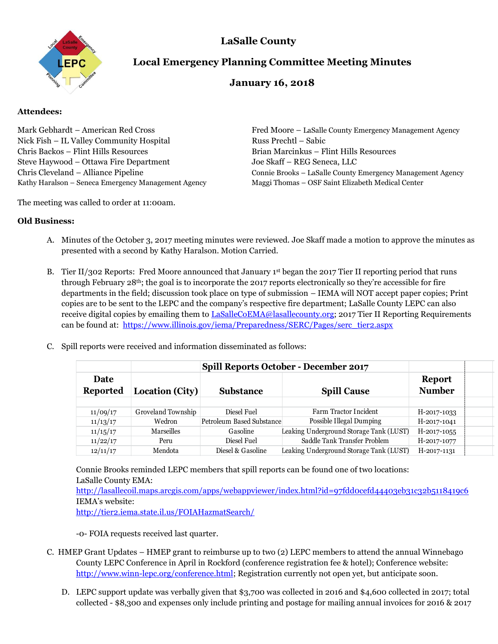

## **LaSalle County**

# **Local Emergency Planning Committee Meeting Minutes**

## **January 16, 2018**

## **Attendees:**

Mark Gebhardt – American Red Cross Fred Moore – LaSalle County Emergency Management Agency Nick Fish – IL Valley Community Hospital Russ Prechtl – Sabic Chris Backos – Flint Hills Resources Brian Marcinkus – Flint Hills Resources Steve Haywood – Ottawa Fire Department Joe Skaff – REG Seneca, LLC Kathy Haralson – Seneca Emergency Management Agency Maggi Thomas – OSF Saint Elizabeth Medical Center

The meeting was called to order at 11:00am.

Chris Cleveland – Alliance Pipeline Connie Brooks – LaSalle County Emergency Management Agency

#### **Old Business:**

- A. Minutes of the October 3, 2017 meeting minutes were reviewed. Joe Skaff made a motion to approve the minutes as presented with a second by Kathy Haralson. Motion Carried.
- B. Tier II/302 Reports: Fred Moore announced that January 1<sup>st</sup> began the 2017 Tier II reporting period that runs through February 28th; the goal is to incorporate the 2017 reports electronically so they're accessible for fire departments in the field; discussion took place on type of submission – IEMA will NOT accept paper copies; Print copies are to be sent to the LEPC and the company's respective fire department; LaSalle County LEPC can also receive digital copies by emailing them to [LaSalleCoEMA@lasallecounty.org;](mailto:LaSalleCoEMA@lasallecounty.org) 2017 Tier II Reporting Requirements can be found at: [https://www.illinois.gov/iema/Preparedness/SERC/Pages/serc\\_tier2.aspx](https://www.illinois.gov/iema/Preparedness/SERC/Pages/serc_tier2.aspx)
- C. Spill reports were received and information disseminated as follows:

|                         |                    | <b>Spill Reports October - December 2017</b> |                                         |                                |  |
|-------------------------|--------------------|----------------------------------------------|-----------------------------------------|--------------------------------|--|
| Date<br><b>Reported</b> | Location (City)    | <b>Substance</b>                             | <b>Spill Cause</b>                      | <b>Report</b><br><b>Number</b> |  |
|                         |                    |                                              |                                         |                                |  |
| 11/09/17                | Groveland Township | Diesel Fuel                                  | Farm Tractor Incident                   | H-2017-1033                    |  |
| 11/13/17                | Wedron             | Petroleum Based Substance                    | Possible Illegal Dumping                | H-2017-1041                    |  |
| 11/15/17                | Marseilles         | Gasoline                                     | Leaking Underground Storage Tank (LUST) | H-2017-1055                    |  |
| 11/22/17                | Peru               | Diesel Fuel                                  | Saddle Tank Transfer Problem            | H-2017-1077                    |  |
| 12/11/17                | Mendota            | Diesel & Gasoline                            | Leaking Underground Storage Tank (LUST) | H-2017-1131                    |  |

Connie Brooks reminded LEPC members that spill reports can be found one of two locations: LaSalle County EMA:

<http://lasallecoil.maps.arcgis.com/apps/webappviewer/index.html?id=97fdd0cefd44403eb31c32b5118419c6> IEMA's website:

<http://tier2.iema.state.il.us/FOIAHazmatSearch/>

-0- FOIA requests received last quarter.

- C. HMEP Grant Updates HMEP grant to reimburse up to two (2) LEPC members to attend the annual Winnebago County LEPC Conference in April in Rockford (conference registration fee & hotel); Conference website: [http://www.winn-lepc.org/conference.html;](http://www.winn-lepc.org/conference.html) Registration currently not open yet, but anticipate soon.
	- D. LEPC support update was verbally given that \$3,700 was collected in 2016 and \$4,600 collected in 2017; total collected - \$8,300 and expenses only include printing and postage for mailing annual invoices for 2016 & 2017